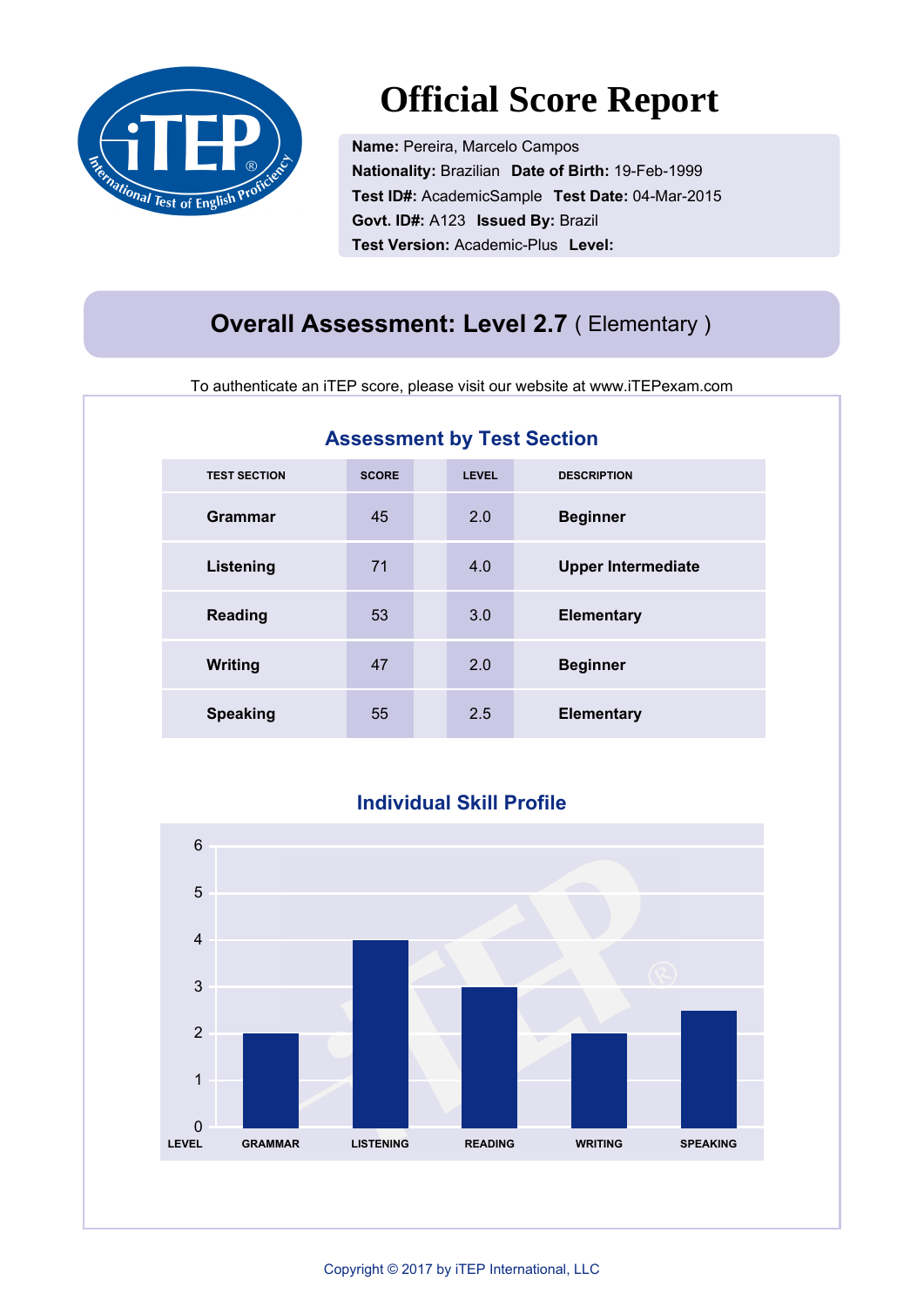

# **Official Score Report**

**Name:** Pereira, Marcelo Campos **Nationality:** Brazilian **Date of Birth:** 19-Feb-1999 **Test ID#:** AcademicSample **Test Date:** 04-Mar-2015 **Govt. ID#:** A123 **Issued By:** Brazil **Test Version:** Academic-Plus **Level:** 

### **Overall Assessment: Level 2.7** ( Elementary )

To authenticate an iTEP score, please visit our website at www.iTEPexam.com

| <b>Assessment by Test Section</b> |              |              |                           |  |
|-----------------------------------|--------------|--------------|---------------------------|--|
| <b>TEST SECTION</b>               | <b>SCORE</b> | <b>LEVEL</b> | <b>DESCRIPTION</b>        |  |
| <b>Grammar</b>                    | 45           | 2.0          | <b>Beginner</b>           |  |
| Listening                         | 71           | 4.0          | <b>Upper Intermediate</b> |  |
| <b>Reading</b>                    | 53           | 3.0          | <b>Elementary</b>         |  |
| <b>Writing</b>                    | 47           | 2.0          | <b>Beginner</b>           |  |
| <b>Speaking</b>                   | 55           | 2.5          | <b>Elementary</b>         |  |

#### **Individual Skill Profile**

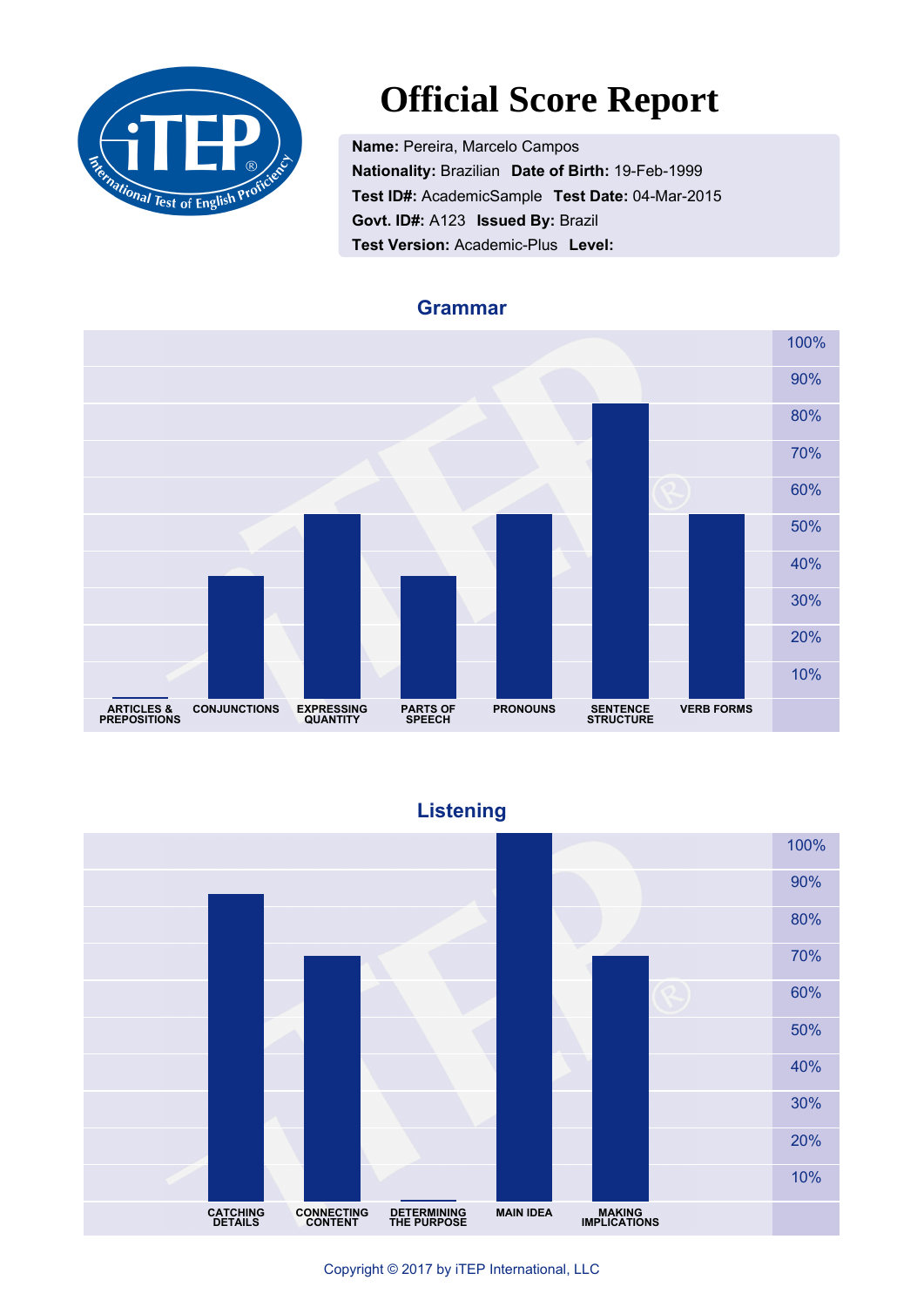

# **Official Score Report**

**Name:** Pereira, Marcelo Campos **Nationality:** Brazilian **Date of Birth:** 19-Feb-1999 **Test ID#:** AcademicSample **Test Date:** 04-Mar-2015 **Govt. ID#:** A123 **Issued By:** Brazil **Test Version:** Academic-Plus **Level:** 



#### **Grammar**

**Listening**